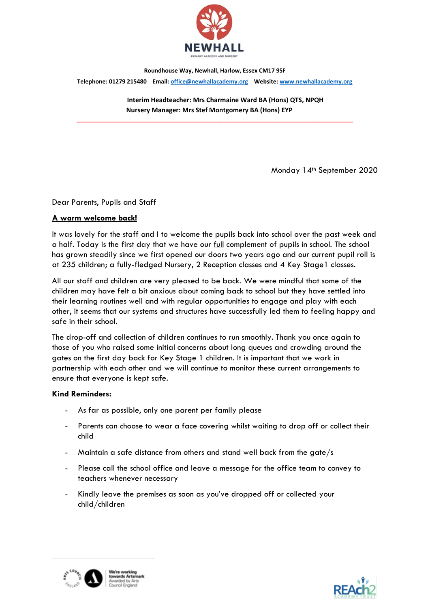

Roundhouse Way, Newhall, Harlow, Essex CM17 9SF Telephone: 01279 215480 Email: office@newhallacademy.org Website: www.newhallacademy.org

> Interim Headteacher: Mrs Charmaine Ward BA (Hons) QTS, NPQH Nursery Manager: Mrs Stef Montgomery BA (Hons) EYP

\_\_\_\_\_\_\_\_\_\_\_\_\_\_\_\_\_\_\_\_\_\_\_\_\_\_\_\_\_\_\_\_\_\_\_\_\_\_\_\_\_\_\_\_\_\_\_\_\_\_\_\_\_\_\_\_\_\_\_\_\_\_\_\_\_\_\_\_\_\_\_\_\_\_\_\_\_\_\_\_\_

Monday 14<sup>th</sup> September 2020

## Dear Parents, Pupils and Staff

## A warm welcome back!

It was lovely for the staff and I to welcome the pupils back into school over the past week and a half. Today is the first day that we have our full complement of pupils in school. The school has grown steadily since we first opened our doors two years ago and our current pupil roll is at 235 children; a fully-fledged Nursery, 2 Reception classes and 4 Key Stage1 classes.

All our staff and children are very pleased to be back. We were mindful that some of the children may have felt a bit anxious about coming back to school but they have settled into their learning routines well and with regular opportunities to engage and play with each other, it seems that our systems and structures have successfully led them to feeling happy and safe in their school.

The drop-off and collection of children continues to run smoothly. Thank you once again to those of you who raised some initial concerns about long queues and crowding around the gates on the first day back for Key Stage 1 children. It is important that we work in partnership with each other and we will continue to monitor these current arrangements to ensure that everyone is kept safe.

#### Kind Reminders:

- As far as possible, only one parent per family please
- Parents can choose to wear a face covering whilst waiting to drop off or collect their child
- Maintain a safe distance from others and stand well back from the gate/s
- Please call the school office and leave a message for the office team to convey to teachers whenever necessary
- Kindly leave the premises as soon as you've dropped off or collected your child/children